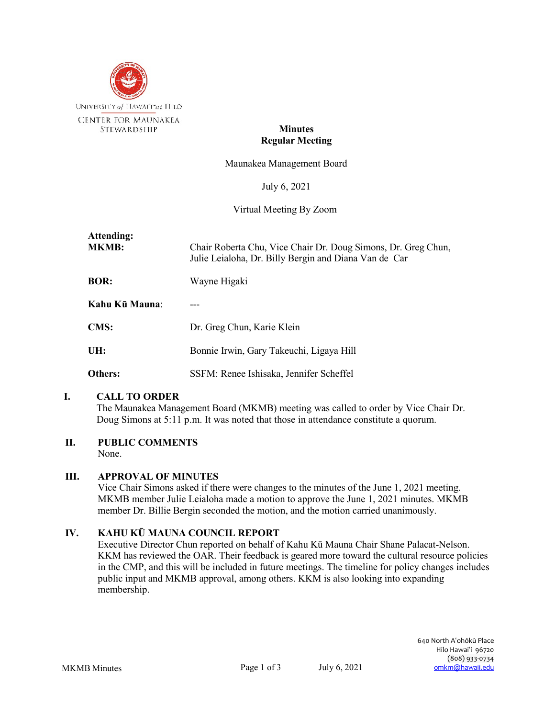

## **Minutes Regular Meeting**

Maunakea Management Board

July 6, 2021

Virtual Meeting By Zoom

| Attending:<br><b>MKMB:</b> | Chair Roberta Chu, Vice Chair Dr. Doug Simons, Dr. Greg Chun,<br>Julie Leialoha, Dr. Billy Bergin and Diana Van de Car |
|----------------------------|------------------------------------------------------------------------------------------------------------------------|
| <b>BOR:</b>                | Wayne Higaki                                                                                                           |
| Kahu Kū Mauna:             |                                                                                                                        |
| <b>CMS:</b>                | Dr. Greg Chun, Karie Klein                                                                                             |
| UH:                        | Bonnie Irwin, Gary Takeuchi, Ligaya Hill                                                                               |
| Others:                    | SSFM: Renee Ishisaka, Jennifer Scheffel                                                                                |

#### **I. CALL TO ORDER**

The Maunakea Management Board (MKMB) meeting was called to order by Vice Chair Dr. Doug Simons at 5:11 p.m. It was noted that those in attendance constitute a quorum.

# **II. PUBLIC COMMENTS**

None.

# **III. APPROVAL OF MINUTES**

Vice Chair Simons asked if there were changes to the minutes of the June 1, 2021 meeting. MKMB member Julie Leialoha made a motion to approve the June 1, 2021 minutes. MKMB member Dr. Billie Bergin seconded the motion, and the motion carried unanimously.

# **IV. KAHU KŪ MAUNA COUNCIL REPORT**

Executive Director Chun reported on behalf of Kahu Kū Mauna Chair Shane Palacat-Nelson. KKM has reviewed the OAR. Their feedback is geared more toward the cultural resource policies in the CMP, and this will be included in future meetings. The timeline for policy changes includes public input and MKMB approval, among others. KKM is also looking into expanding membership.

640 North Aʻohōkū Place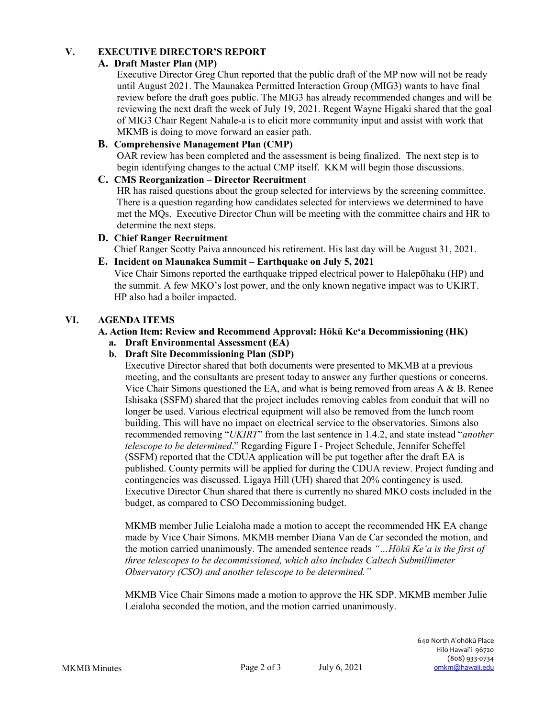# **V. EXECUTIVE DIRECTOR'S REPORT**

# **A. Draft Master Plan (MP)**

Executive Director Greg Chun reported that the public draft of the MP now will not be ready until August 2021. The Maunakea Permitted Interaction Group (MIG3) wants to have final review before the draft goes public. The MIG3 has already recommended changes and will be reviewing the next draft the week of July 19, 2021. Regent Wayne Higaki shared that the goal of MIG3 Chair Regent Nahale-a is to elicit more community input and assist with work that MKMB is doing to move forward an easier path.

## **B. Comprehensive Management Plan (CMP)**

OAR review has been completed and the assessment is being finalized. The next step is to begin identifying changes to the actual CMP itself. KKM will begin those discussions.

# **C. CMS Reorganization – Director Recruitment**

HR has raised questions about the group selected for interviews by the screening committee. There is a question regarding how candidates selected for interviews we determined to have met the MQs. Executive Director Chun will be meeting with the committee chairs and HR to determine the next steps.

**D. Chief Ranger Recruitment** Chief Ranger Scotty Paiva announced his retirement. His last day will be August 31, 2021.

### **E. Incident on Maunakea Summit – Earthquake on July 5, 2021**

Vice Chair Simons reported the earthquake tripped electrical power to Halepōhaku (HP) and the summit. A few MKO's lost power, and the only known negative impact was to UKIRT. HP also had a boiler impacted.

### **VI. AGENDA ITEMS**

# **A. Action Item: Review and Recommend Approval: Hōkū Keʻa Decommissioning (HK)**

- **a. Draft Environmental Assessment (EA)**
- **b. Draft Site Decommissioning Plan (SDP)**

Executive Director shared that both documents were presented to MKMB at a previous meeting, and the consultants are present today to answer any further questions or concerns. Vice Chair Simons questioned the EA, and what is being removed from areas A & B. Renee Ishisaka (SSFM) shared that the project includes removing cables from conduit that will no longer be used. Various electrical equipment will also be removed from the lunch room building. This will have no impact on electrical service to the observatories. Simons also recommended removing "*UKIRT*" from the last sentence in 1.4.2, and state instead "*another telescope to be determined*." Regarding Figure I - Project Schedule, Jennifer Scheffel (SSFM) reported that the CDUA application will be put together after the draft EA is published. County permits will be applied for during the CDUA review. Project funding and contingencies was discussed. Ligaya Hill (UH) shared that 20% contingency is used. Executive Director Chun shared that there is currently no shared MKO costs included in the budget, as compared to CSO Decommissioning budget.

MKMB member Julie Leialoha made a motion to accept the recommended HK EA change made by Vice Chair Simons. MKMB member Diana Van de Car seconded the motion, and the motion carried unanimously. The amended sentence reads *"…Hōkū Keʻa is the first of three telescopes to be decommissioned, which also includes Caltech Submillimeter Observatory (CSO) and another telescope to be determined."*

MKMB Vice Chair Simons made a motion to approve the HK SDP. MKMB member Julie Leialoha seconded the motion, and the motion carried unanimously.